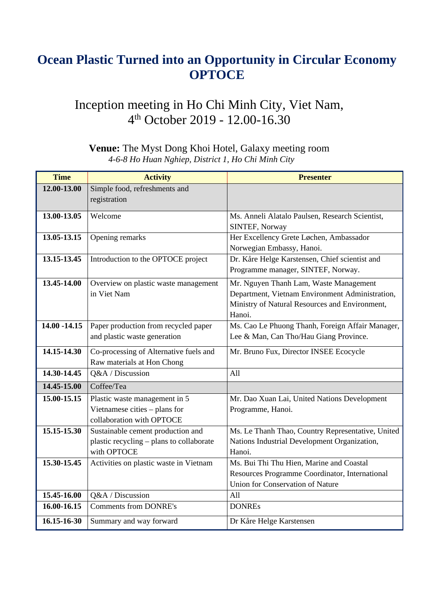## **Ocean Plastic Turned into an Opportunity in Circular Economy OPTOCE**

## Inception meeting in Ho Chi Minh City, Viet Nam, 4th October 2019 - 12.00-16.30

| <b>Time</b>     | <b>Activity</b>                          | <b>Presenter</b>                                  |
|-----------------|------------------------------------------|---------------------------------------------------|
| 12.00-13.00     | Simple food, refreshments and            |                                                   |
|                 | registration                             |                                                   |
| 13.00-13.05     | Welcome                                  | Ms. Anneli Alatalo Paulsen, Research Scientist,   |
|                 |                                          | <b>SINTEF, Norway</b>                             |
| 13.05-13.15     | Opening remarks                          | Her Excellency Grete Løchen, Ambassador           |
|                 |                                          | Norwegian Embassy, Hanoi.                         |
| 13.15-13.45     | Introduction to the OPTOCE project       | Dr. Kåre Helge Karstensen, Chief scientist and    |
|                 |                                          | Programme manager, SINTEF, Norway.                |
| 13.45-14.00     | Overview on plastic waste management     | Mr. Nguyen Thanh Lam, Waste Management            |
|                 | in Viet Nam                              | Department, Vietnam Environment Administration,   |
|                 |                                          | Ministry of Natural Resources and Environment,    |
|                 |                                          | Hanoi.                                            |
| $14.00 - 14.15$ | Paper production from recycled paper     | Ms. Cao Le Phuong Thanh, Foreign Affair Manager,  |
|                 | and plastic waste generation             | Lee & Man, Can Tho/Hau Giang Province.            |
| 14.15-14.30     | Co-processing of Alternative fuels and   | Mr. Bruno Fux, Director INSEE Ecocycle            |
|                 | Raw materials at Hon Chong               |                                                   |
| 14.30-14.45     | Q&A / Discussion                         | All                                               |
| 14.45-15.00     | Coffee/Tea                               |                                                   |
| 15.00-15.15     | Plastic waste management in 5            | Mr. Dao Xuan Lai, United Nations Development      |
|                 | Vietnamese cities - plans for            | Programme, Hanoi.                                 |
|                 | collaboration with OPTOCE                |                                                   |
| 15.15-15.30     | Sustainable cement production and        | Ms. Le Thanh Thao, Country Representative, United |
|                 | plastic recycling - plans to collaborate | Nations Industrial Development Organization,      |
|                 | with OPTOCE                              | Hanoi.                                            |
| 15.30-15.45     | Activities on plastic waste in Vietnam   | Ms. Bui Thi Thu Hien, Marine and Coastal          |
|                 |                                          | Resources Programme Coordinator, International    |
|                 |                                          | Union for Conservation of Nature                  |
| 15.45-16.00     | Q&A / Discussion                         | All                                               |
| 16.00-16.15     | <b>Comments from DONRE's</b>             | <b>DONREs</b>                                     |
| 16.15-16-30     | Summary and way forward                  | Dr Kåre Helge Karstensen                          |

## **Venue:** The Myst Dong Khoi Hotel, Galaxy meeting room *4-6-8 Ho Huan Nghiep, District 1, Ho Chi Minh City*